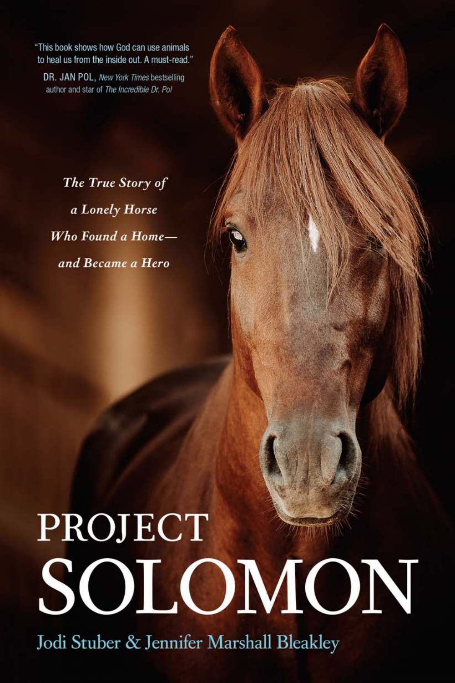"This book shows how God can use animals to heal us from the inside out. A must-read."

DR. JAN POL, New York Times bestselling author and star of The Incredible Dr. Pol.

The True Story of a Lonely Horse Who Found a Homeand Became a Hero

# PROJECT SOLOMON

Jodi Stuber & Jennifer Marshall Bleakley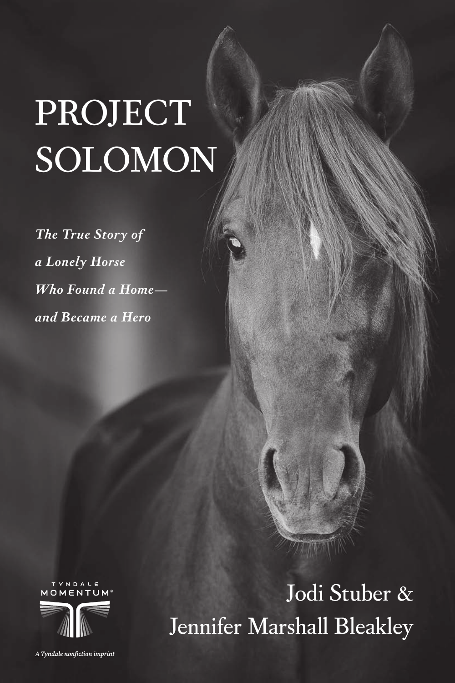# **PROJECT SOLOMON**

*The True Story of a Lonely Horse Who Found a Home and Became a Hero*



A Tyndale nonfiction imprint

Jodi Stuber & Jennifer Marshall Bleakley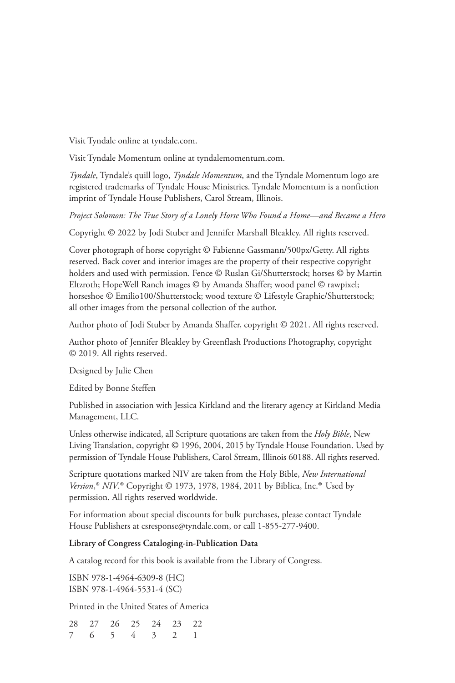Visit Tyndale online at tyndale.com.

Visit Tyndale Momentum online at tyndalemomentum.com.

*Tyndale*, Tyndale's quill logo, *Tyndale Momentum*, and the Tyndale Momentum logo are registered trademarks of Tyndale House Ministries. Tyndale Momentum is a nonfiction imprint of Tyndale House Publishers, Carol Stream, Illinois.

*Project Solomon: The True Story of a Lonely Horse Who Found a Home—and Became a Hero*

Copyright © 2022 by Jodi Stuber and Jennifer Marshall Bleakley. All rights reserved.

Cover photograph of horse copyright © Fabienne Gassmann/500px/Getty. All rights reserved. Back cover and interior images are the property of their respective copyright holders and used with permission. Fence © Ruslan Gi/Shutterstock; horses © by Martin Eltzroth; HopeWell Ranch images © by Amanda Shaffer; wood panel © rawpixel; horseshoe © Emilio100/Shutterstock; wood texture © Lifestyle Graphic/Shutterstock; all other images from the personal collection of the author.

Author photo of Jodi Stuber by Amanda Shaffer, copyright © 2021. All rights reserved.

Author photo of Jennifer Bleakley by Greenflash Productions Photography, copyright © 2019. All rights reserved.

Designed by Julie Chen

Edited by Bonne Steffen

Published in association with Jessica Kirkland and the literary agency at Kirkland Media Management, LLC.

Unless otherwise indicated, all Scripture quotations are taken from the *Holy Bible*, New Living Translation, copyright © 1996, 2004, 2015 by Tyndale House Foundation. Used by permission of Tyndale House Publishers, Carol Stream, Illinois 60188. All rights reserved.

Scripture quotations marked NIV are taken from the Holy Bible, *New International Version*, ® *NIV*. ® Copyright © 1973, 1978, 1984, 2011 by Biblica, Inc.® Used by permission. All rights reserved worldwide.

For information about special discounts for bulk purchases, please contact Tyndale House Publishers at csresponse@tyndale.com, or call 1-855-277-9400.

#### **Library of Congress Cataloging-in-Publication Data**

A catalog record for this book is available from the Library of Congress.

ISBN 978-1-4964-6309-8 (HC) ISBN 978-1-4964-5531-4 (SC)

Printed in the United States of America

28 27 26 25 24 23 22 7 6 5 4 3 2 1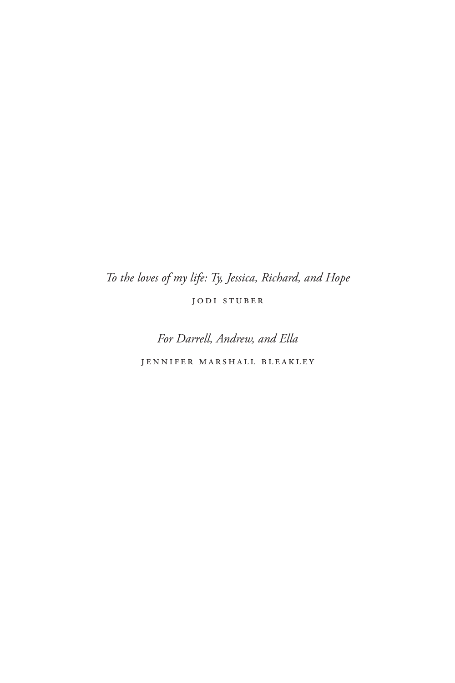#### *To the loves of my life: Ty, Jessica, Richard, and Hope* JODI STUBER

*For Darrell, Andrew, and Ella* Jennifer Marshall Bleakley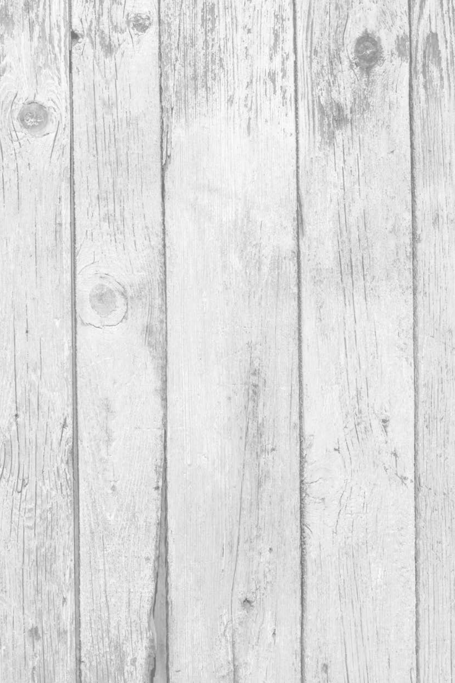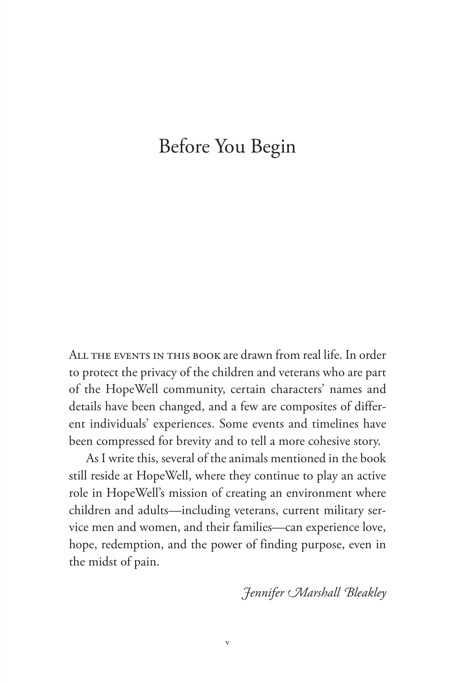### Before You Begin

ALL THE EVENTS IN THIS BOOK are drawn from real life. In order to protect the privacy of the children and veterans who are part of the HopeWell community, certain characters' names and details have been changed, and a few are composites of different individuals' experiences. Some events and timelines have been compressed for brevity and to tell a more cohesive story.

As I write this, several of the animals mentioned in the book still reside at HopeWell, where they continue to play an active role in HopeWell's mission of creating an environment where children and adults—including veterans, current military service men and women, and their families—can experience love, hope, redemption, and the power of finding purpose, even in the midst of pain.

*Jennifer Marshall Bleakley*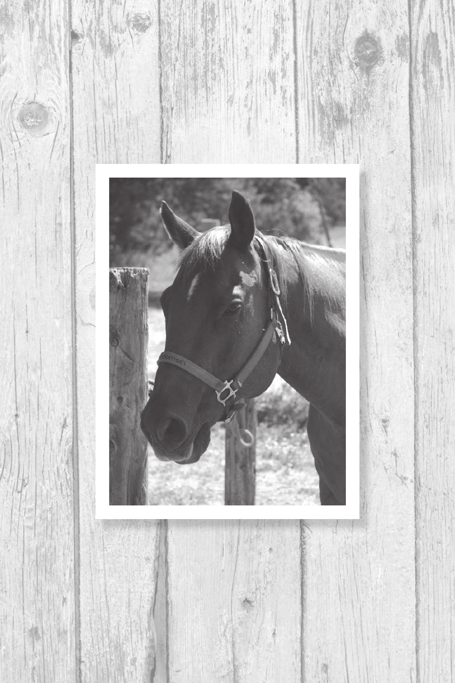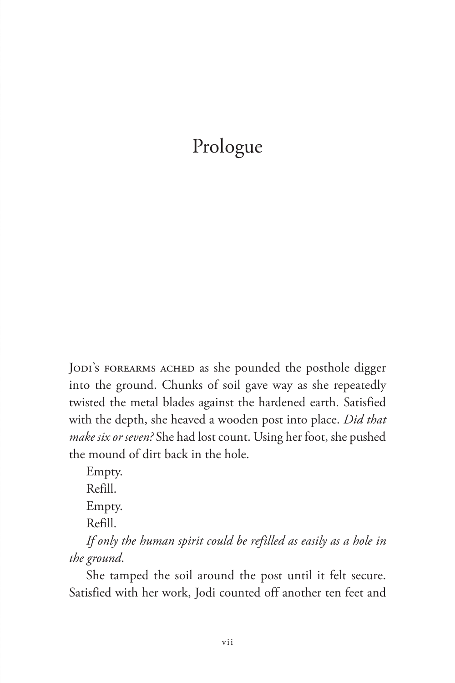## Prologue

JODI'S FOREARMS ACHED as she pounded the posthole digger into the ground. Chunks of soil gave way as she repeatedly twisted the metal blades against the hardened earth. Satisfied with the depth, she heaved a wooden post into place. *Did that make six or seven?* She had lost count. Using her foot, she pushed the mound of dirt back in the hole.

Empty. Refill. Empty. Refill. *If only the human spirit could be refilled as easily as a hole in* 

*the ground*. She tamped the soil around the post until it felt secure. Satisfied with her work, Jodi counted off another ten feet and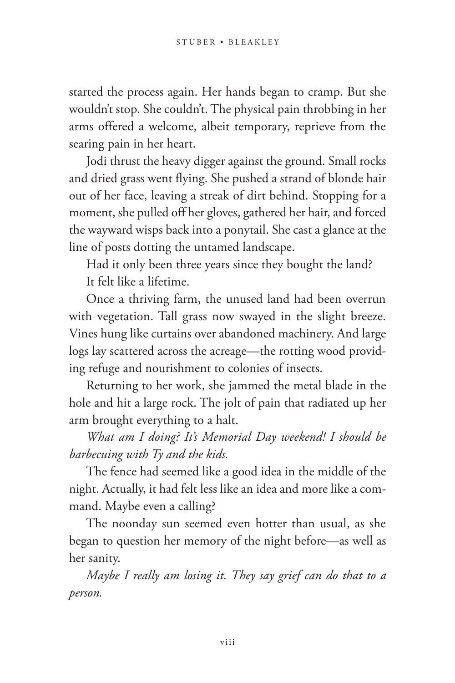started the process again. Her hands began to cramp. But she wouldn't stop. She couldn't. The physical pain throbbing in her arms offered a welcome, albeit temporary, reprieve from the searing pain in her heart.

Jodi thrust the heavy digger against the ground. Small rocks and dried grass went flying. She pushed a strand of blonde hair out of her face, leaving a streak of dirt behind. Stopping for a moment, she pulled off her gloves, gathered her hair, and forced the wayward wisps back into a ponytail. She cast a glance at the line of posts dotting the untamed landscape.

Had it only been three years since they bought the land? It felt like a lifetime.

Once a thriving farm, the unused land had been overrun with vegetation. Tall grass now swayed in the slight breeze. Vines hung like curtains over abandoned machinery. And large logs lay scattered across the acreage—the rotting wood providing refuge and nourishment to colonies of insects.

Returning to her work, she jammed the metal blade in the hole and hit a large rock. The jolt of pain that radiated up her arm brought everything to a halt.

*What am I doing? It's Memorial Day weekend! I should be barbecuing with Ty and the kids.* 

The fence had seemed like a good idea in the middle of the night. Actually, it had felt less like an idea and more like a command. Maybe even a calling?

The noonday sun seemed even hotter than usual, as she began to question her memory of the night before—as well as her sanity.

*Maybe I really am losing it. They say grief can do that to a person.*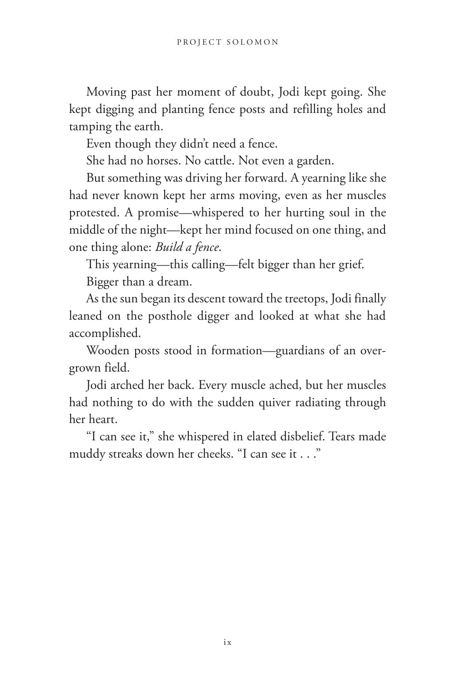Moving past her moment of doubt, Jodi kept going. She kept digging and planting fence posts and refilling holes and tamping the earth.

Even though they didn't need a fence.

She had no horses. No cattle. Not even a garden.

But something was driving her forward. A yearning like she had never known kept her arms moving, even as her muscles protested. A promise— whispered to her hurting soul in the middle of the night—kept her mind focused on one thing, and one thing alone: *Build a fence*.

This yearning—this calling—felt bigger than her grief.

Bigger than a dream.

As the sun began its descent toward the treetops, Jodi finally leaned on the posthole digger and looked at what she had accomplished.

Wooden posts stood in formation—guardians of an overgrown field.

Jodi arched her back. Every muscle ached, but her muscles had nothing to do with the sudden quiver radiating through her heart.

"I can see it," she whispered in elated disbelief. Tears made muddy streaks down her cheeks. "I can see it . . ."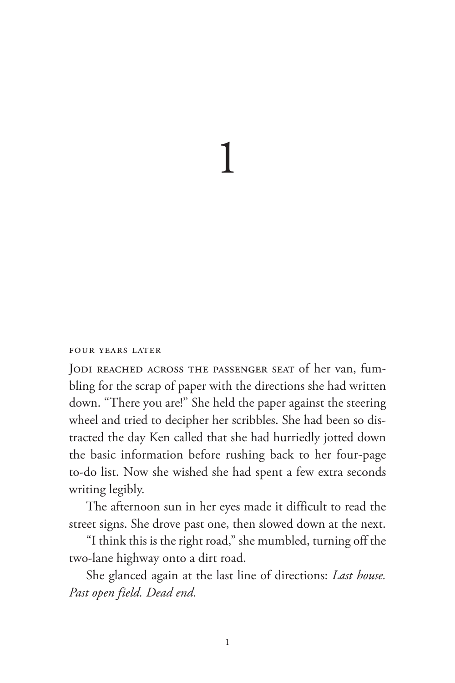1

#### Four years later

JODI REACHED ACROSS THE PASSENGER SEAT of her van, fumbling for the scrap of paper with the directions she had written down. "There you are!" She held the paper against the steering wheel and tried to decipher her scribbles. She had been so distracted the day Ken called that she had hurriedly jotted down the basic information before rushing back to her four-page to-do list. Now she wished she had spent a few extra seconds writing legibly.

The afternoon sun in her eyes made it difficult to read the street signs. She drove past one, then slowed down at the next.

"I think this is the right road," she mumbled, turning off the two-lane highway onto a dirt road.

She glanced again at the last line of directions: *Last house. Past open field. Dead end.*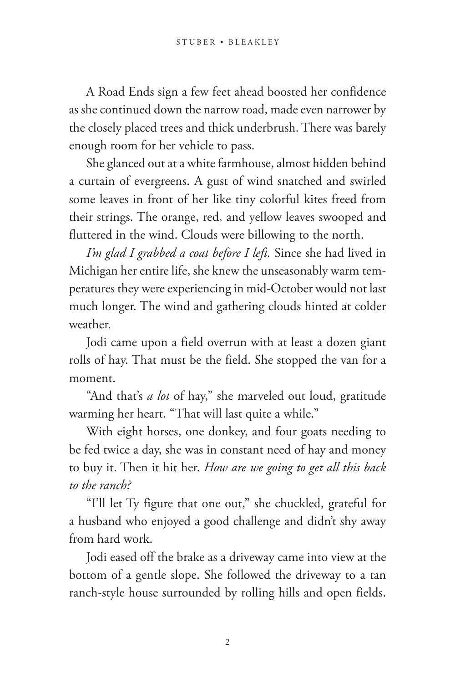A Road Ends sign a few feet ahead boosted her confidence as she continued down the narrow road, made even narrower by the closely placed trees and thick underbrush. There was barely enough room for her vehicle to pass.

She glanced out at a white farmhouse, almost hidden behind a curtain of evergreens. A gust of wind snatched and swirled some leaves in front of her like tiny colorful kites freed from their strings. The orange, red, and yellow leaves swooped and fluttered in the wind. Clouds were billowing to the north.

*I'm glad I grabbed a coat before I left.* Since she had lived in Michigan her entire life, she knew the unseasonably warm temperatures they were experiencing in mid-October would not last much longer. The wind and gathering clouds hinted at colder weather.

Jodi came upon a field overrun with at least a dozen giant rolls of hay. That must be the field. She stopped the van for a moment.

"And that's *a lot* of hay," she marveled out loud, gratitude warming her heart. "That will last quite a while."

With eight horses, one donkey, and four goats needing to be fed twice a day, she was in constant need of hay and money to buy it. Then it hit her. *How are we going to get all this back to the ranch?*

"I'll let Ty figure that one out," she chuckled, grateful for a husband who enjoyed a good challenge and didn't shy away from hard work.

Jodi eased off the brake as a driveway came into view at the bottom of a gentle slope. She followed the driveway to a tan ranch-style house surrounded by rolling hills and open fields.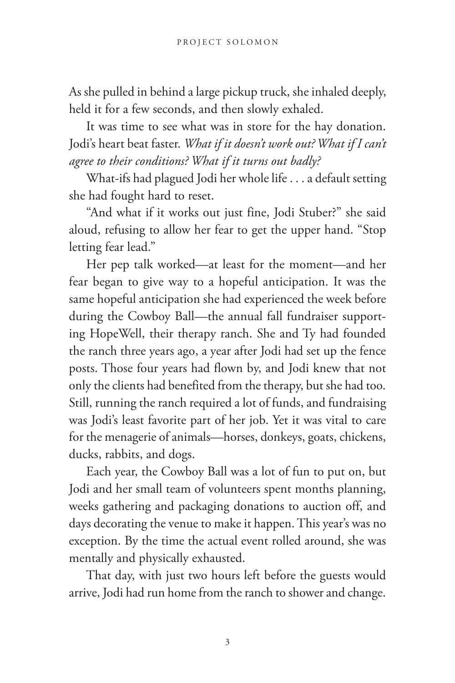As she pulled in behind a large pickup truck, she inhaled deeply, held it for a few seconds, and then slowly exhaled.

It was time to see what was in store for the hay donation. Jodi's heart beat faster. *What if it doesn't work out? What if I can't agree to their conditions? What if it turns out badly?*

What-ifs had plagued Jodi her whole life . . . a default setting she had fought hard to reset.

"And what if it works out just fine, Jodi Stuber?" she said aloud, refusing to allow her fear to get the upper hand. "Stop letting fear lead."

Her pep talk worked—at least for the moment—and her fear began to give way to a hopeful anticipation. It was the same hopeful anticipation she had experienced the week before during the Cowboy Ball—the annual fall fundraiser supporting HopeWell, their therapy ranch. She and Ty had founded the ranch three years ago, a year after Jodi had set up the fence posts. Those four years had flown by, and Jodi knew that not only the clients had benefited from the therapy, but she had too. Still, running the ranch required a lot of funds, and fundraising was Jodi's least favorite part of her job. Yet it was vital to care for the menagerie of animals—horses, donkeys, goats, chickens, ducks, rabbits, and dogs.

Each year, the Cowboy Ball was a lot of fun to put on, but Jodi and her small team of volunteers spent months planning, weeks gathering and packaging donations to auction off, and days decorating the venue to make it happen. This year's was no exception. By the time the actual event rolled around, she was mentally and physically exhausted.

That day, with just two hours left before the guests would arrive, Jodi had run home from the ranch to shower and change.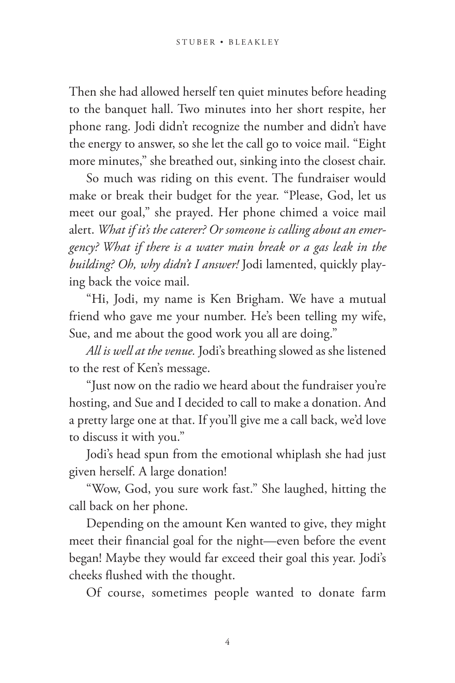Then she had allowed herself ten quiet minutes before heading to the banquet hall. Two minutes into her short respite, her phone rang. Jodi didn't recognize the number and didn't have the energy to answer, so she let the call go to voice mail. "Eight more minutes," she breathed out, sinking into the closest chair.

So much was riding on this event. The fundraiser would make or break their budget for the year. "Please, God, let us meet our goal," she prayed. Her phone chimed a voice mail alert. *What if it's the caterer? Or someone is calling about an emergency? What if there is a water main break or a gas leak in the building? Oh, why didn't I answer!* Jodi lamented, quickly playing back the voice mail.

"Hi, Jodi, my name is Ken Brigham. We have a mutual friend who gave me your number. He's been telling my wife, Sue, and me about the good work you all are doing."

*All is well at the venue.* Jodi's breathing slowed as she listened to the rest of Ken's message.

"Just now on the radio we heard about the fundraiser you're hosting, and Sue and I decided to call to make a donation. And a pretty large one at that. If you'll give me a call back, we'd love to discuss it with you."

Jodi's head spun from the emotional whiplash she had just given herself. A large donation!

"Wow, God, you sure work fast." She laughed, hitting the call back on her phone.

Depending on the amount Ken wanted to give, they might meet their financial goal for the night—even before the event began! Maybe they would far exceed their goal this year. Jodi's cheeks flushed with the thought.

Of course, sometimes people wanted to donate farm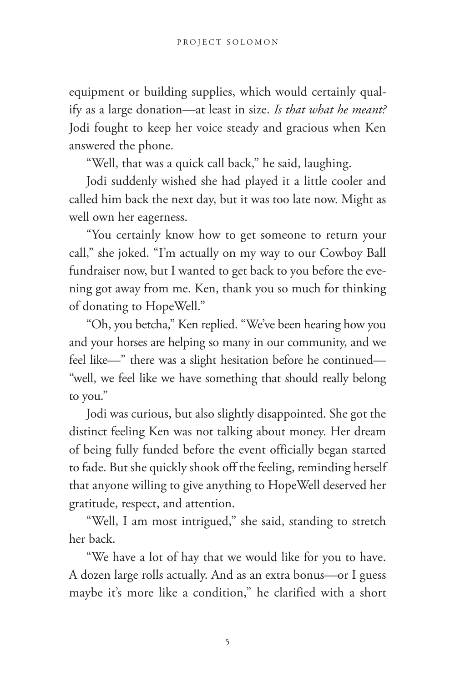equipment or building supplies, which would certainly qualify as a large donation—at least in size. *Is that what he meant?* Jodi fought to keep her voice steady and gracious when Ken answered the phone.

"Well, that was a quick call back," he said, laughing.

Jodi suddenly wished she had played it a little cooler and called him back the next day, but it was too late now. Might as well own her eagerness.

"You certainly know how to get someone to return your call," she joked. "I'm actually on my way to our Cowboy Ball fundraiser now, but I wanted to get back to you before the evening got away from me. Ken, thank you so much for thinking of donating to HopeWell."

"Oh, you betcha," Ken replied. "We've been hearing how you and your horses are helping so many in our community, and we feel like—" there was a slight hesitation before he continued— "well, we feel like we have something that should really belong to you."

Jodi was curious, but also slightly disappointed. She got the distinct feeling Ken was not talking about money. Her dream of being fully funded before the event officially began started to fade. But she quickly shook off the feeling, reminding herself that anyone willing to give anything to HopeWell deserved her gratitude, respect, and attention.

"Well, I am most intrigued," she said, standing to stretch her back.

"We have a lot of hay that we would like for you to have. A dozen large rolls actually. And as an extra bonus—or I guess maybe it's more like a condition," he clarified with a short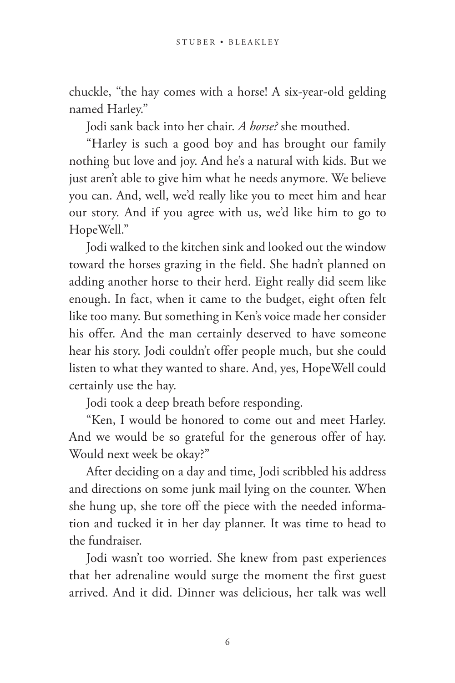chuckle, "the hay comes with a horse! A six- year- old gelding named Harley."

Jodi sank back into her chair. *A horse?* she mouthed.

"Harley is such a good boy and has brought our family nothing but love and joy. And he's a natural with kids. But we just aren't able to give him what he needs anymore. We believe you can. And, well, we'd really like you to meet him and hear our story. And if you agree with us, we'd like him to go to HopeWell."

Jodi walked to the kitchen sink and looked out the window toward the horses grazing in the field. She hadn't planned on adding another horse to their herd. Eight really did seem like enough. In fact, when it came to the budget, eight often felt like too many. But something in Ken's voice made her consider his offer. And the man certainly deserved to have someone hear his story. Jodi couldn't offer people much, but she could listen to what they wanted to share. And, yes, HopeWell could certainly use the hay.

Jodi took a deep breath before responding.

"Ken, I would be honored to come out and meet Harley. And we would be so grateful for the generous offer of hay. Would next week be okay?"

After deciding on a day and time, Jodi scribbled his address and directions on some junk mail lying on the counter. When she hung up, she tore off the piece with the needed information and tucked it in her day planner. It was time to head to the fundraiser.

Jodi wasn't too worried. She knew from past experiences that her adrenaline would surge the moment the first guest arrived. And it did. Dinner was delicious, her talk was well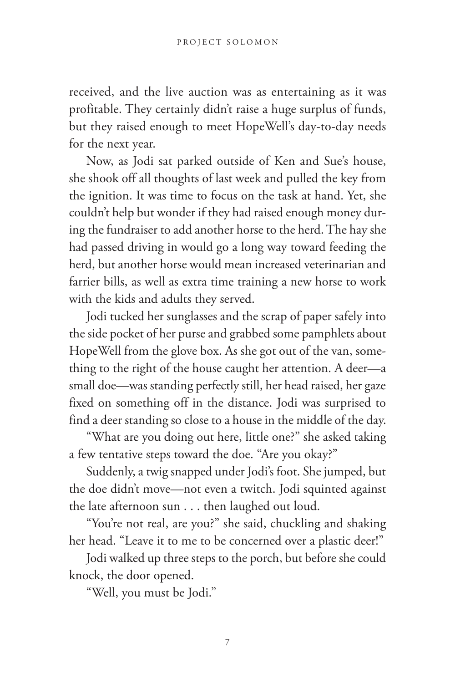received, and the live auction was as entertaining as it was profitable. They certainly didn't raise a huge surplus of funds, but they raised enough to meet HopeWell's day-to-day needs for the next year.

Now, as Jodi sat parked outside of Ken and Sue's house, she shook off all thoughts of last week and pulled the key from the ignition. It was time to focus on the task at hand. Yet, she couldn't help but wonder if they had raised enough money during the fundraiser to add another horse to the herd. The hay she had passed driving in would go a long way toward feeding the herd, but another horse would mean increased veterinarian and farrier bills, as well as extra time training a new horse to work with the kids and adults they served.

Jodi tucked her sunglasses and the scrap of paper safely into the side pocket of her purse and grabbed some pamphlets about HopeWell from the glove box. As she got out of the van, something to the right of the house caught her attention. A deer—a small doe-was standing perfectly still, her head raised, her gaze fixed on something off in the distance. Jodi was surprised to find a deer standing so close to a house in the middle of the day.

"What are you doing out here, little one?" she asked taking a few tentative steps toward the doe. "Are you okay?"

Suddenly, a twig snapped under Jodi's foot. She jumped, but the doe didn't move—not even a twitch. Jodi squinted against the late afternoon sun . . . then laughed out loud.

"You're not real, are you?" she said, chuckling and shaking her head. "Leave it to me to be concerned over a plastic deer!"

Jodi walked up three steps to the porch, but before she could knock, the door opened.

"Well, you must be Jodi."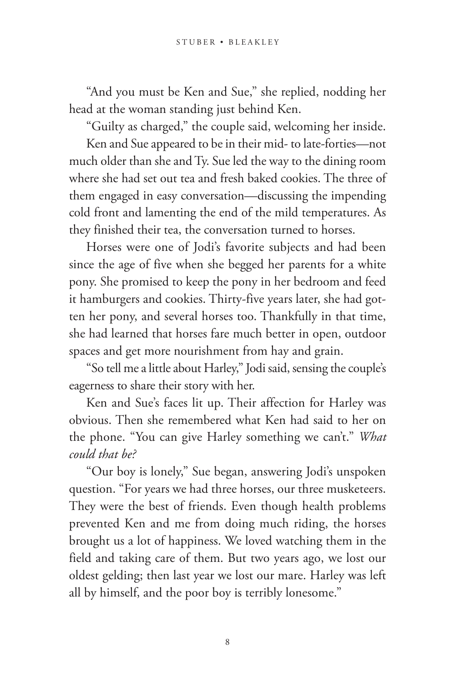"And you must be Ken and Sue," she replied, nodding her head at the woman standing just behind Ken.

"Guilty as charged," the couple said, welcoming her inside. Ken and Sue appeared to be in their mid- to late-forties—not much older than she and Ty. Sue led the way to the dining room where she had set out tea and fresh baked cookies. The three of them engaged in easy conversation—discussing the impending cold front and lamenting the end of the mild temperatures. As they finished their tea, the conversation turned to horses.

Horses were one of Jodi's favorite subjects and had been since the age of five when she begged her parents for a white pony. She promised to keep the pony in her bedroom and feed it hamburgers and cookies. Thirty-five years later, she had gotten her pony, and several horses too. Thankfully in that time, she had learned that horses fare much better in open, outdoor spaces and get more nourishment from hay and grain.

"So tell me a little about Harley," Jodi said, sensing the couple's eagerness to share their story with her.

Ken and Sue's faces lit up. Their affection for Harley was obvious. Then she remembered what Ken had said to her on the phone. "You can give Harley something we can't." *What could that be?*

"Our boy is lonely," Sue began, answering Jodi's unspoken question. "For years we had three horses, our three musketeers. They were the best of friends. Even though health problems prevented Ken and me from doing much riding, the horses brought us a lot of happiness. We loved watching them in the field and taking care of them. But two years ago, we lost our oldest gelding; then last year we lost our mare. Harley was left all by himself, and the poor boy is terribly lonesome."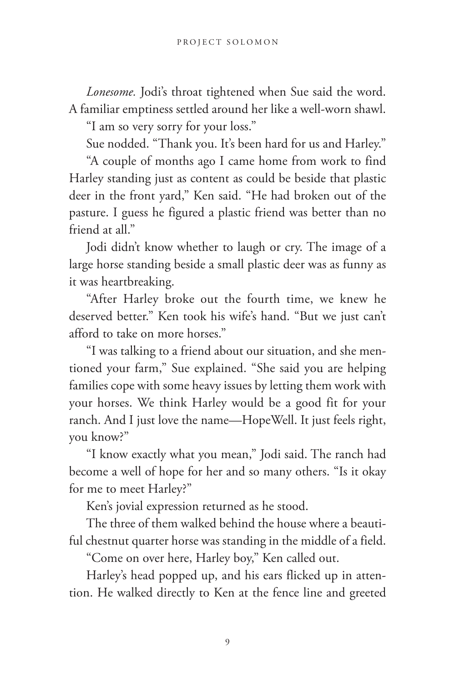*Lonesome.* Jodi's throat tightened when Sue said the word. A familiar emptiness settled around her like a well-worn shawl.

"I am so very sorry for your loss."

Sue nodded. "Thank you. It's been hard for us and Harley."

"A couple of months ago I came home from work to find Harley standing just as content as could be beside that plastic deer in the front yard," Ken said. "He had broken out of the pasture. I guess he figured a plastic friend was better than no friend at all."

Jodi didn't know whether to laugh or cry. The image of a large horse standing beside a small plastic deer was as funny as it was heartbreaking.

"After Harley broke out the fourth time, we knew he deserved better." Ken took his wife's hand. "But we just can't afford to take on more horses."

"I was talking to a friend about our situation, and she mentioned your farm," Sue explained. "She said you are helping families cope with some heavy issues by letting them work with your horses. We think Harley would be a good fit for your ranch. And I just love the name—HopeWell. It just feels right, you know?"

"I know exactly what you mean," Jodi said. The ranch had become a well of hope for her and so many others. "Is it okay for me to meet Harley?"

Ken's jovial expression returned as he stood.

The three of them walked behind the house where a beautiful chestnut quarter horse was standing in the middle of a field.

"Come on over here, Harley boy," Ken called out.

Harley's head popped up, and his ears flicked up in attention. He walked directly to Ken at the fence line and greeted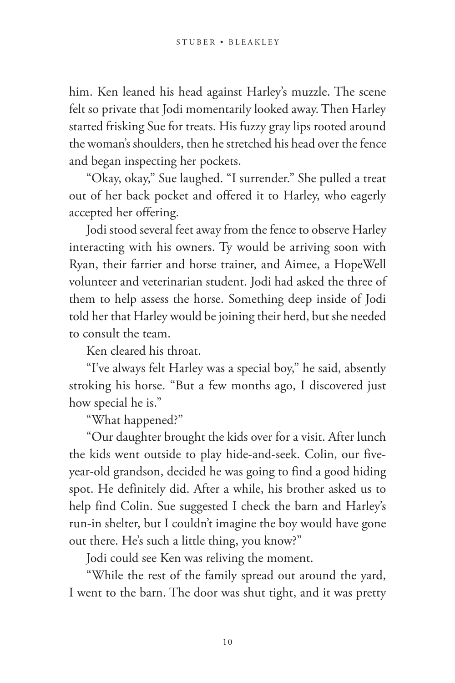him. Ken leaned his head against Harley's muzzle. The scene felt so private that Jodi momentarily looked away. Then Harley started frisking Sue for treats. His fuzzy gray lips rooted around the woman's shoulders, then he stretched his head over the fence and began inspecting her pockets.

"Okay, okay," Sue laughed. "I surrender." She pulled a treat out of her back pocket and offered it to Harley, who eagerly accepted her offering.

Jodi stood several feet away from the fence to observe Harley interacting with his owners. Ty would be arriving soon with Ryan, their farrier and horse trainer, and Aimee, a HopeWell volunteer and veterinarian student. Jodi had asked the three of them to help assess the horse. Something deep inside of Jodi told her that Harley would be joining their herd, but she needed to consult the team.

Ken cleared his throat.

"I've always felt Harley was a special boy," he said, absently stroking his horse. "But a few months ago, I discovered just how special he is."

"What happened?"

"Our daughter brought the kids over for a visit. After lunch the kids went outside to play hide-and-seek. Colin, our fiveyear-old grandson, decided he was going to find a good hiding spot. He definitely did. After a while, his brother asked us to help find Colin. Sue suggested I check the barn and Harley's run-in shelter, but I couldn't imagine the boy would have gone out there. He's such a little thing, you know?"

Jodi could see Ken was reliving the moment.

"While the rest of the family spread out around the yard, I went to the barn. The door was shut tight, and it was pretty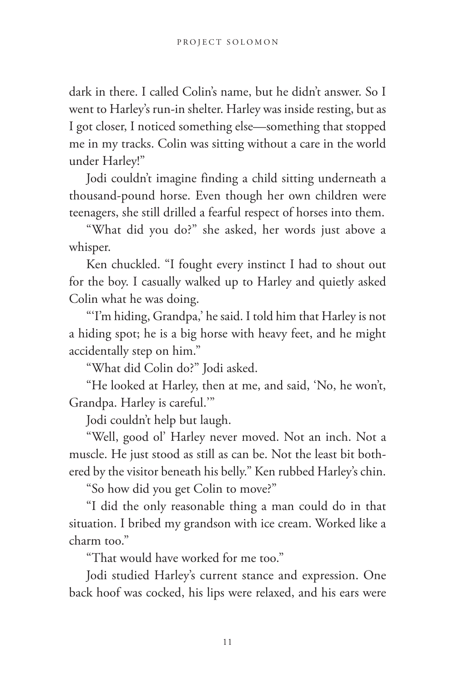dark in there. I called Colin's name, but he didn't answer. So I went to Harley's run-in shelter. Harley was inside resting, but as I got closer, I noticed something else—something that stopped me in my tracks. Colin was sitting without a care in the world under Harley!"

Jodi couldn't imagine finding a child sitting underneath a thousand- pound horse. Even though her own children were teenagers, she still drilled a fearful respect of horses into them.

"What did you do?" she asked, her words just above a whisper.

Ken chuckled. "I fought every instinct I had to shout out for the boy. I casually walked up to Harley and quietly asked Colin what he was doing.

"'I'm hiding, Grandpa,' he said. I told him that Harley is not a hiding spot; he is a big horse with heavy feet, and he might accidentally step on him."

"What did Colin do?" Jodi asked.

"He looked at Harley, then at me, and said, 'No, he won't, Grandpa. Harley is careful.'"

Jodi couldn't help but laugh.

"Well, good ol' Harley never moved. Not an inch. Not a muscle. He just stood as still as can be. Not the least bit bothered by the visitor beneath his belly." Ken rubbed Harley's chin.

"So how did you get Colin to move?"

"I did the only reasonable thing a man could do in that situation. I bribed my grandson with ice cream. Worked like a charm too."

"That would have worked for me too."

Jodi studied Harley's current stance and expression. One back hoof was cocked, his lips were relaxed, and his ears were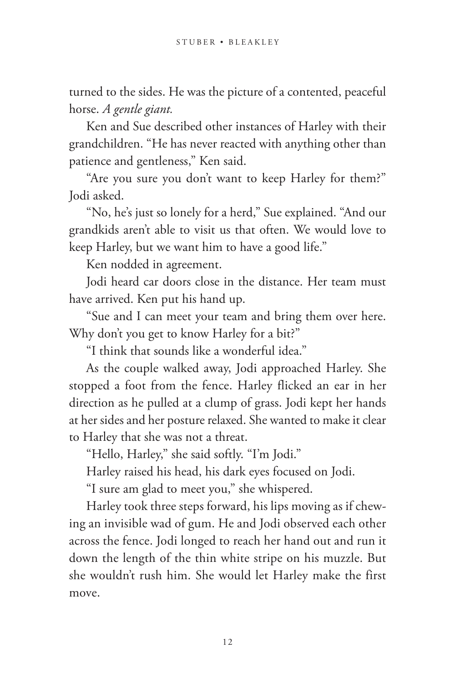turned to the sides. He was the picture of a contented, peaceful horse. *A gentle giant.*

Ken and Sue described other instances of Harley with their grandchildren. "He has never reacted with anything other than patience and gentleness," Ken said.

"Are you sure you don't want to keep Harley for them?" Jodi asked.

"No, he's just so lonely for a herd," Sue explained. "And our grandkids aren't able to visit us that often. We would love to keep Harley, but we want him to have a good life."

Ken nodded in agreement.

Jodi heard car doors close in the distance. Her team must have arrived. Ken put his hand up.

"Sue and I can meet your team and bring them over here. Why don't you get to know Harley for a bit?"

"I think that sounds like a wonderful idea."

As the couple walked away, Jodi approached Harley. She stopped a foot from the fence. Harley flicked an ear in her direction as he pulled at a clump of grass. Jodi kept her hands at her sides and her posture relaxed. She wanted to make it clear to Harley that she was not a threat.

"Hello, Harley," she said softly. "I'm Jodi."

Harley raised his head, his dark eyes focused on Jodi.

"I sure am glad to meet you," she whispered.

Harley took three steps forward, his lips moving as if chewing an invisible wad of gum. He and Jodi observed each other across the fence. Jodi longed to reach her hand out and run it down the length of the thin white stripe on his muzzle. But she wouldn't rush him. She would let Harley make the first move.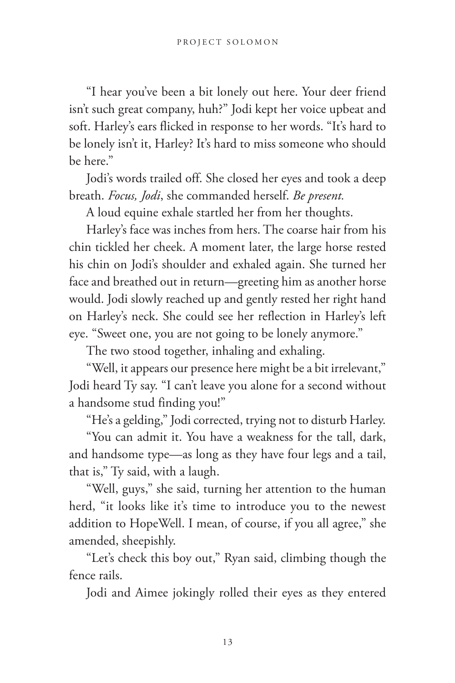"I hear you've been a bit lonely out here. Your deer friend isn't such great company, huh?" Jodi kept her voice upbeat and soft. Harley's ears flicked in response to her words. "It's hard to be lonely isn't it, Harley? It's hard to miss someone who should be here."

Jodi's words trailed off. She closed her eyes and took a deep breath. *Focus, Jodi*, she commanded herself. *Be present.*

A loud equine exhale startled her from her thoughts.

Harley's face was inches from hers. The coarse hair from his chin tickled her cheek. A moment later, the large horse rested his chin on Jodi's shoulder and exhaled again. She turned her face and breathed out in return—greeting him as another horse would. Jodi slowly reached up and gently rested her right hand on Harley's neck. She could see her reflection in Harley's left eye. "Sweet one, you are not going to be lonely anymore."

The two stood together, inhaling and exhaling.

"Well, it appears our presence here might be a bit irrelevant," Jodi heard Ty say. "I can't leave you alone for a second without a handsome stud finding you!"

"He's a gelding," Jodi corrected, trying not to disturb Harley.

"You can admit it. You have a weakness for the tall, dark, and handsome type—as long as they have four legs and a tail, that is," Ty said, with a laugh.

"Well, guys," she said, turning her attention to the human herd, "it looks like it's time to introduce you to the newest addition to HopeWell. I mean, of course, if you all agree," she amended, sheepishly.

"Let's check this boy out," Ryan said, climbing though the fence rails.

Jodi and Aimee jokingly rolled their eyes as they entered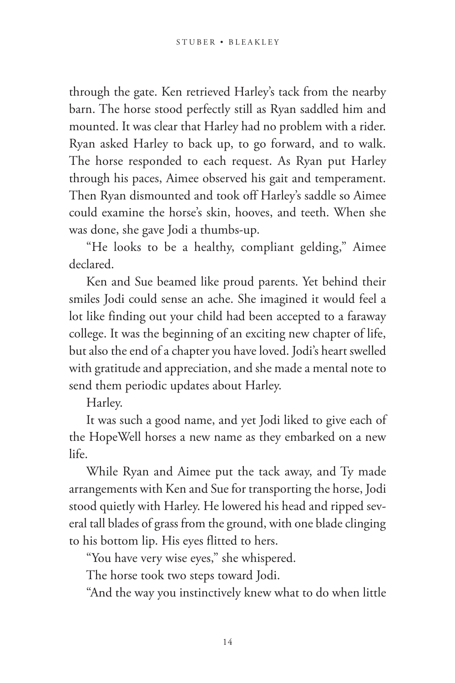through the gate. Ken retrieved Harley's tack from the nearby barn. The horse stood perfectly still as Ryan saddled him and mounted. It was clear that Harley had no problem with a rider. Ryan asked Harley to back up, to go forward, and to walk. The horse responded to each request. As Ryan put Harley through his paces, Aimee observed his gait and temperament. Then Ryan dismounted and took off Harley's saddle so Aimee could examine the horse's skin, hooves, and teeth. When she was done, she gave Jodi a thumbs-up.

"He looks to be a healthy, compliant gelding," Aimee declared.

Ken and Sue beamed like proud parents. Yet behind their smiles Jodi could sense an ache. She imagined it would feel a lot like finding out your child had been accepted to a faraway college. It was the beginning of an exciting new chapter of life, but also the end of a chapter you have loved. Jodi's heart swelled with gratitude and appreciation, and she made a mental note to send them periodic updates about Harley.

Harley.

It was such a good name, and yet Jodi liked to give each of the HopeWell horses a new name as they embarked on a new life.

While Ryan and Aimee put the tack away, and Ty made arrangements with Ken and Sue for transporting the horse, Jodi stood quietly with Harley. He lowered his head and ripped several tall blades of grass from the ground, with one blade clinging to his bottom lip. His eyes flitted to hers.

"You have very wise eyes," she whispered.

The horse took two steps toward Jodi.

"And the way you instinctively knew what to do when little